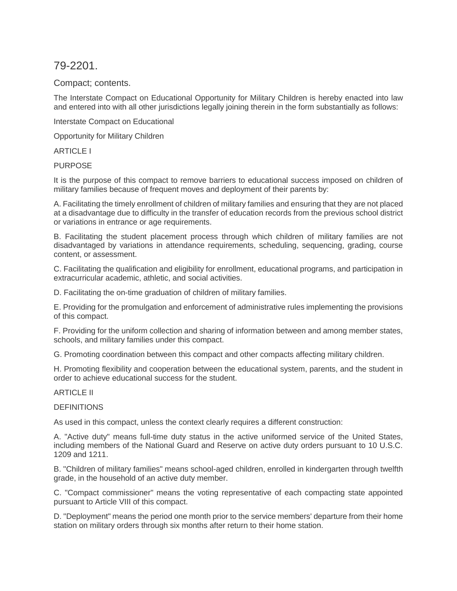79-2201.

Compact; contents.

The Interstate Compact on Educational Opportunity for Military Children is hereby enacted into law and entered into with all other jurisdictions legally joining therein in the form substantially as follows:

Interstate Compact on Educational

Opportunity for Military Children

ARTICLE I

PURPOSE

It is the purpose of this compact to remove barriers to educational success imposed on children of military families because of frequent moves and deployment of their parents by:

A. Facilitating the timely enrollment of children of military families and ensuring that they are not placed at a disadvantage due to difficulty in the transfer of education records from the previous school district or variations in entrance or age requirements.

B. Facilitating the student placement process through which children of military families are not disadvantaged by variations in attendance requirements, scheduling, sequencing, grading, course content, or assessment.

C. Facilitating the qualification and eligibility for enrollment, educational programs, and participation in extracurricular academic, athletic, and social activities.

D. Facilitating the on-time graduation of children of military families.

E. Providing for the promulgation and enforcement of administrative rules implementing the provisions of this compact.

F. Providing for the uniform collection and sharing of information between and among member states, schools, and military families under this compact.

G. Promoting coordination between this compact and other compacts affecting military children.

H. Promoting flexibility and cooperation between the educational system, parents, and the student in order to achieve educational success for the student.

## ARTICLE II

## **DEFINITIONS**

As used in this compact, unless the context clearly requires a different construction:

A. "Active duty" means full-time duty status in the active uniformed service of the United States, including members of the National Guard and Reserve on active duty orders pursuant to 10 U.S.C. 1209 and 1211.

B. "Children of military families" means school-aged children, enrolled in kindergarten through twelfth grade, in the household of an active duty member.

C. "Compact commissioner" means the voting representative of each compacting state appointed pursuant to Article VIII of this compact.

D. "Deployment" means the period one month prior to the service members' departure from their home station on military orders through six months after return to their home station.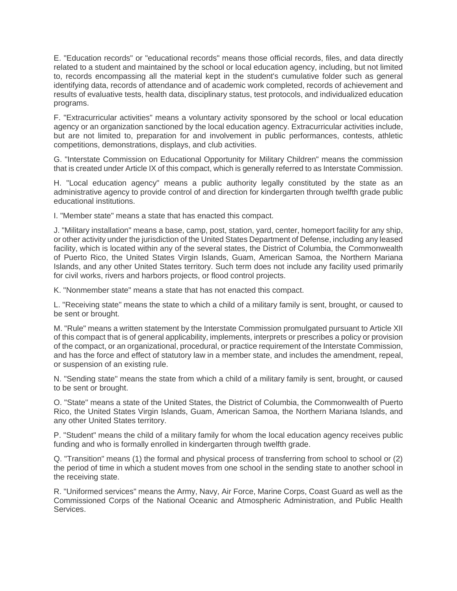E. "Education records" or "educational records" means those official records, files, and data directly related to a student and maintained by the school or local education agency, including, but not limited to, records encompassing all the material kept in the student's cumulative folder such as general identifying data, records of attendance and of academic work completed, records of achievement and results of evaluative tests, health data, disciplinary status, test protocols, and individualized education programs.

F. "Extracurricular activities" means a voluntary activity sponsored by the school or local education agency or an organization sanctioned by the local education agency. Extracurricular activities include, but are not limited to, preparation for and involvement in public performances, contests, athletic competitions, demonstrations, displays, and club activities.

G. "Interstate Commission on Educational Opportunity for Military Children" means the commission that is created under Article IX of this compact, which is generally referred to as Interstate Commission.

H. "Local education agency" means a public authority legally constituted by the state as an administrative agency to provide control of and direction for kindergarten through twelfth grade public educational institutions.

I. "Member state" means a state that has enacted this compact.

J. "Military installation" means a base, camp, post, station, yard, center, homeport facility for any ship, or other activity under the jurisdiction of the United States Department of Defense, including any leased facility, which is located within any of the several states, the District of Columbia, the Commonwealth of Puerto Rico, the United States Virgin Islands, Guam, American Samoa, the Northern Mariana Islands, and any other United States territory. Such term does not include any facility used primarily for civil works, rivers and harbors projects, or flood control projects.

K. "Nonmember state" means a state that has not enacted this compact.

L. "Receiving state" means the state to which a child of a military family is sent, brought, or caused to be sent or brought.

M. "Rule" means a written statement by the Interstate Commission promulgated pursuant to Article XII of this compact that is of general applicability, implements, interprets or prescribes a policy or provision of the compact, or an organizational, procedural, or practice requirement of the Interstate Commission, and has the force and effect of statutory law in a member state, and includes the amendment, repeal, or suspension of an existing rule.

N. "Sending state" means the state from which a child of a military family is sent, brought, or caused to be sent or brought.

O. "State" means a state of the United States, the District of Columbia, the Commonwealth of Puerto Rico, the United States Virgin Islands, Guam, American Samoa, the Northern Mariana Islands, and any other United States territory.

P. "Student" means the child of a military family for whom the local education agency receives public funding and who is formally enrolled in kindergarten through twelfth grade.

Q. "Transition" means (1) the formal and physical process of transferring from school to school or (2) the period of time in which a student moves from one school in the sending state to another school in the receiving state.

R. "Uniformed services" means the Army, Navy, Air Force, Marine Corps, Coast Guard as well as the Commissioned Corps of the National Oceanic and Atmospheric Administration, and Public Health Services.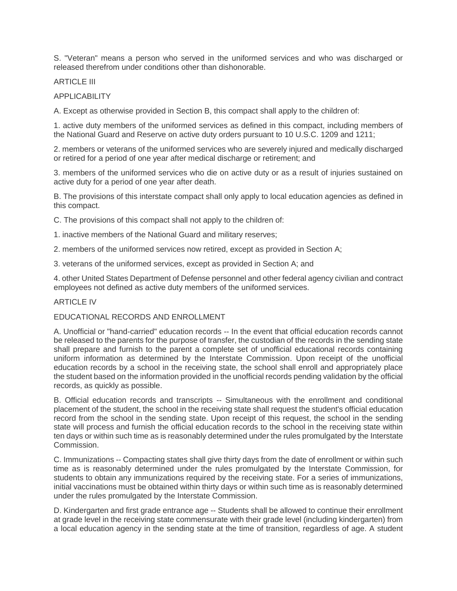S. "Veteran" means a person who served in the uniformed services and who was discharged or released therefrom under conditions other than dishonorable.

ARTICLE III

APPLICABILITY

A. Except as otherwise provided in Section B, this compact shall apply to the children of:

1. active duty members of the uniformed services as defined in this compact, including members of the National Guard and Reserve on active duty orders pursuant to 10 U.S.C. 1209 and 1211;

2. members or veterans of the uniformed services who are severely injured and medically discharged or retired for a period of one year after medical discharge or retirement; and

3. members of the uniformed services who die on active duty or as a result of injuries sustained on active duty for a period of one year after death.

B. The provisions of this interstate compact shall only apply to local education agencies as defined in this compact.

C. The provisions of this compact shall not apply to the children of:

1. inactive members of the National Guard and military reserves;

2. members of the uniformed services now retired, except as provided in Section A;

3. veterans of the uniformed services, except as provided in Section A; and

4. other United States Department of Defense personnel and other federal agency civilian and contract employees not defined as active duty members of the uniformed services.

#### ARTICLE IV

#### EDUCATIONAL RECORDS AND ENROLLMENT

A. Unofficial or "hand-carried" education records -- In the event that official education records cannot be released to the parents for the purpose of transfer, the custodian of the records in the sending state shall prepare and furnish to the parent a complete set of unofficial educational records containing uniform information as determined by the Interstate Commission. Upon receipt of the unofficial education records by a school in the receiving state, the school shall enroll and appropriately place the student based on the information provided in the unofficial records pending validation by the official records, as quickly as possible.

B. Official education records and transcripts -- Simultaneous with the enrollment and conditional placement of the student, the school in the receiving state shall request the student's official education record from the school in the sending state. Upon receipt of this request, the school in the sending state will process and furnish the official education records to the school in the receiving state within ten days or within such time as is reasonably determined under the rules promulgated by the Interstate Commission.

C. Immunizations -- Compacting states shall give thirty days from the date of enrollment or within such time as is reasonably determined under the rules promulgated by the Interstate Commission, for students to obtain any immunizations required by the receiving state. For a series of immunizations, initial vaccinations must be obtained within thirty days or within such time as is reasonably determined under the rules promulgated by the Interstate Commission.

D. Kindergarten and first grade entrance age -- Students shall be allowed to continue their enrollment at grade level in the receiving state commensurate with their grade level (including kindergarten) from a local education agency in the sending state at the time of transition, regardless of age. A student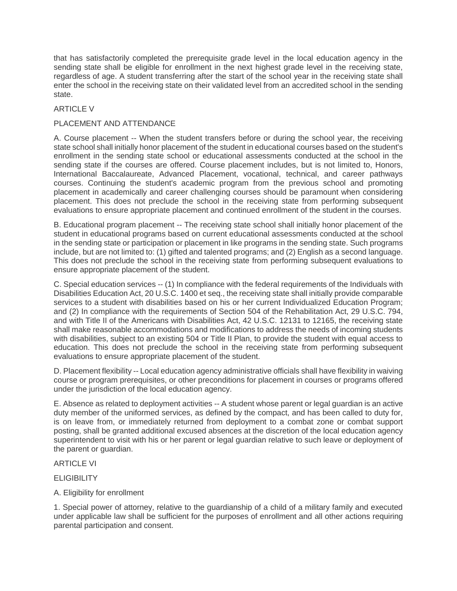that has satisfactorily completed the prerequisite grade level in the local education agency in the sending state shall be eligible for enrollment in the next highest grade level in the receiving state, regardless of age. A student transferring after the start of the school year in the receiving state shall enter the school in the receiving state on their validated level from an accredited school in the sending state.

## **ARTICLE V**

## PLACEMENT AND ATTENDANCE

A. Course placement -- When the student transfers before or during the school year, the receiving state school shall initially honor placement of the student in educational courses based on the student's enrollment in the sending state school or educational assessments conducted at the school in the sending state if the courses are offered. Course placement includes, but is not limited to, Honors, International Baccalaureate, Advanced Placement, vocational, technical, and career pathways courses. Continuing the student's academic program from the previous school and promoting placement in academically and career challenging courses should be paramount when considering placement. This does not preclude the school in the receiving state from performing subsequent evaluations to ensure appropriate placement and continued enrollment of the student in the courses.

B. Educational program placement -- The receiving state school shall initially honor placement of the student in educational programs based on current educational assessments conducted at the school in the sending state or participation or placement in like programs in the sending state. Such programs include, but are not limited to: (1) gifted and talented programs; and (2) English as a second language. This does not preclude the school in the receiving state from performing subsequent evaluations to ensure appropriate placement of the student.

C. Special education services -- (1) In compliance with the federal requirements of the Individuals with Disabilities Education Act, 20 U.S.C. 1400 et seq., the receiving state shall initially provide comparable services to a student with disabilities based on his or her current Individualized Education Program; and (2) In compliance with the requirements of Section 504 of the Rehabilitation Act, 29 U.S.C. 794, and with Title II of the Americans with Disabilities Act, 42 U.S.C. 12131 to 12165, the receiving state shall make reasonable accommodations and modifications to address the needs of incoming students with disabilities, subject to an existing 504 or Title II Plan, to provide the student with equal access to education. This does not preclude the school in the receiving state from performing subsequent evaluations to ensure appropriate placement of the student.

D. Placement flexibility -- Local education agency administrative officials shall have flexibility in waiving course or program prerequisites, or other preconditions for placement in courses or programs offered under the jurisdiction of the local education agency.

E. Absence as related to deployment activities -- A student whose parent or legal guardian is an active duty member of the uniformed services, as defined by the compact, and has been called to duty for, is on leave from, or immediately returned from deployment to a combat zone or combat support posting, shall be granted additional excused absences at the discretion of the local education agency superintendent to visit with his or her parent or legal guardian relative to such leave or deployment of the parent or guardian.

## ARTICLE VI

## **ELIGIBILITY**

## A. Eligibility for enrollment

1. Special power of attorney, relative to the guardianship of a child of a military family and executed under applicable law shall be sufficient for the purposes of enrollment and all other actions requiring parental participation and consent.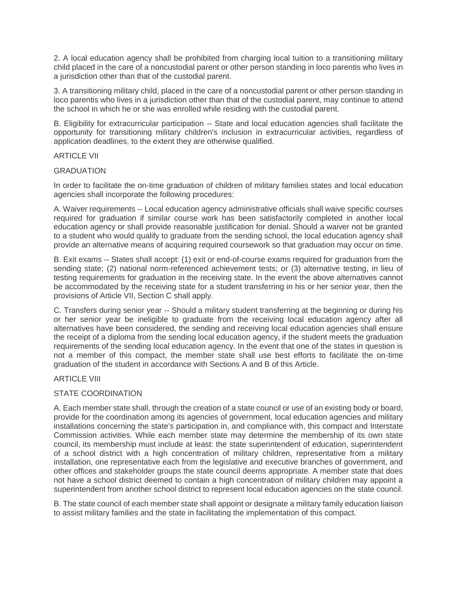2. A local education agency shall be prohibited from charging local tuition to a transitioning military child placed in the care of a noncustodial parent or other person standing in loco parentis who lives in a jurisdiction other than that of the custodial parent.

3. A transitioning military child, placed in the care of a noncustodial parent or other person standing in loco parentis who lives in a jurisdiction other than that of the custodial parent, may continue to attend the school in which he or she was enrolled while residing with the custodial parent.

B. Eligibility for extracurricular participation -- State and local education agencies shall facilitate the opportunity for transitioning military children's inclusion in extracurricular activities, regardless of application deadlines, to the extent they are otherwise qualified.

#### ARTICLE VII

#### **GRADUATION**

In order to facilitate the on-time graduation of children of military families states and local education agencies shall incorporate the following procedures:

A. Waiver requirements -- Local education agency administrative officials shall waive specific courses required for graduation if similar course work has been satisfactorily completed in another local education agency or shall provide reasonable justification for denial. Should a waiver not be granted to a student who would qualify to graduate from the sending school, the local education agency shall provide an alternative means of acquiring required coursework so that graduation may occur on time.

B. Exit exams -- States shall accept: (1) exit or end-of-course exams required for graduation from the sending state; (2) national norm-referenced achievement tests; or (3) alternative testing, in lieu of testing requirements for graduation in the receiving state. In the event the above alternatives cannot be accommodated by the receiving state for a student transferring in his or her senior year, then the provisions of Article VII, Section C shall apply.

C. Transfers during senior year -- Should a military student transferring at the beginning or during his or her senior year be ineligible to graduate from the receiving local education agency after all alternatives have been considered, the sending and receiving local education agencies shall ensure the receipt of a diploma from the sending local education agency, if the student meets the graduation requirements of the sending local education agency. In the event that one of the states in question is not a member of this compact, the member state shall use best efforts to facilitate the on-time graduation of the student in accordance with Sections A and B of this Article.

## ARTICLE VIII

## STATE COORDINATION

A. Each member state shall, through the creation of a state council or use of an existing body or board, provide for the coordination among its agencies of government, local education agencies and military installations concerning the state's participation in, and compliance with, this compact and Interstate Commission activities. While each member state may determine the membership of its own state council, its membership must include at least: the state superintendent of education, superintendent of a school district with a high concentration of military children, representative from a military installation, one representative each from the legislative and executive branches of government, and other offices and stakeholder groups the state council deems appropriate. A member state that does not have a school district deemed to contain a high concentration of military children may appoint a superintendent from another school district to represent local education agencies on the state council.

B. The state council of each member state shall appoint or designate a military family education liaison to assist military families and the state in facilitating the implementation of this compact.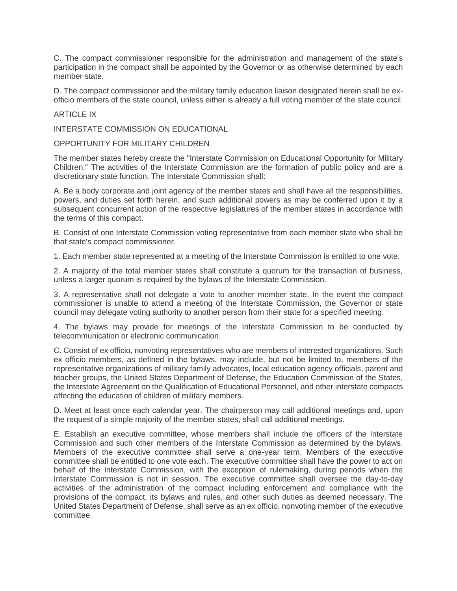C. The compact commissioner responsible for the administration and management of the state's participation in the compact shall be appointed by the Governor or as otherwise determined by each member state.

D. The compact commissioner and the military family education liaison designated herein shall be exofficio members of the state council, unless either is already a full voting member of the state council.

#### ARTICLE IX

INTERSTATE COMMISSION ON EDUCATIONAL

OPPORTUNITY FOR MILITARY CHILDREN

The member states hereby create the "Interstate Commission on Educational Opportunity for Military Children." The activities of the Interstate Commission are the formation of public policy and are a discretionary state function. The Interstate Commission shall:

A. Be a body corporate and joint agency of the member states and shall have all the responsibilities, powers, and duties set forth herein, and such additional powers as may be conferred upon it by a subsequent concurrent action of the respective legislatures of the member states in accordance with the terms of this compact.

B. Consist of one Interstate Commission voting representative from each member state who shall be that state's compact commissioner.

1. Each member state represented at a meeting of the Interstate Commission is entitled to one vote.

2. A majority of the total member states shall constitute a quorum for the transaction of business, unless a larger quorum is required by the bylaws of the Interstate Commission.

3. A representative shall not delegate a vote to another member state. In the event the compact commissioner is unable to attend a meeting of the Interstate Commission, the Governor or state council may delegate voting authority to another person from their state for a specified meeting.

4. The bylaws may provide for meetings of the Interstate Commission to be conducted by telecommunication or electronic communication.

C. Consist of ex officio, nonvoting representatives who are members of interested organizations. Such ex officio members, as defined in the bylaws, may include, but not be limited to, members of the representative organizations of military family advocates, local education agency officials, parent and teacher groups, the United States Department of Defense, the Education Commission of the States, the Interstate Agreement on the Qualification of Educational Personnel, and other interstate compacts affecting the education of children of military members.

D. Meet at least once each calendar year. The chairperson may call additional meetings and, upon the request of a simple majority of the member states, shall call additional meetings.

E. Establish an executive committee, whose members shall include the officers of the Interstate Commission and such other members of the Interstate Commission as determined by the bylaws. Members of the executive committee shall serve a one-year term. Members of the executive committee shall be entitled to one vote each. The executive committee shall have the power to act on behalf of the Interstate Commission, with the exception of rulemaking, during periods when the Interstate Commission is not in session. The executive committee shall oversee the day-to-day activities of the administration of the compact including enforcement and compliance with the provisions of the compact, its bylaws and rules, and other such duties as deemed necessary. The United States Department of Defense, shall serve as an ex officio, nonvoting member of the executive committee.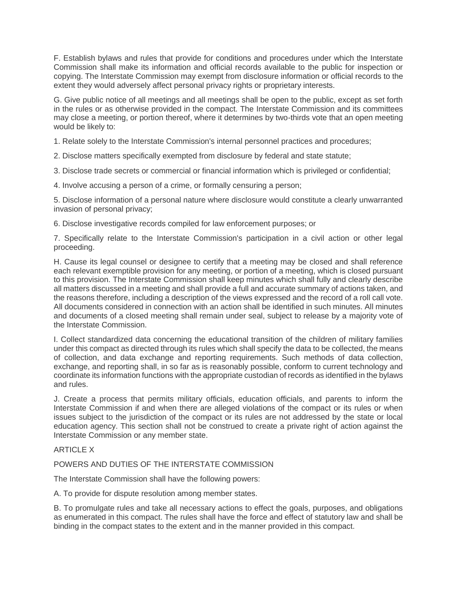F. Establish bylaws and rules that provide for conditions and procedures under which the Interstate Commission shall make its information and official records available to the public for inspection or copying. The Interstate Commission may exempt from disclosure information or official records to the extent they would adversely affect personal privacy rights or proprietary interests.

G. Give public notice of all meetings and all meetings shall be open to the public, except as set forth in the rules or as otherwise provided in the compact. The Interstate Commission and its committees may close a meeting, or portion thereof, where it determines by two-thirds vote that an open meeting would be likely to:

1. Relate solely to the Interstate Commission's internal personnel practices and procedures;

2. Disclose matters specifically exempted from disclosure by federal and state statute;

3. Disclose trade secrets or commercial or financial information which is privileged or confidential;

4. Involve accusing a person of a crime, or formally censuring a person;

5. Disclose information of a personal nature where disclosure would constitute a clearly unwarranted invasion of personal privacy;

6. Disclose investigative records compiled for law enforcement purposes; or

7. Specifically relate to the Interstate Commission's participation in a civil action or other legal proceeding.

H. Cause its legal counsel or designee to certify that a meeting may be closed and shall reference each relevant exemptible provision for any meeting, or portion of a meeting, which is closed pursuant to this provision. The Interstate Commission shall keep minutes which shall fully and clearly describe all matters discussed in a meeting and shall provide a full and accurate summary of actions taken, and the reasons therefore, including a description of the views expressed and the record of a roll call vote. All documents considered in connection with an action shall be identified in such minutes. All minutes and documents of a closed meeting shall remain under seal, subject to release by a majority vote of the Interstate Commission.

I. Collect standardized data concerning the educational transition of the children of military families under this compact as directed through its rules which shall specify the data to be collected, the means of collection, and data exchange and reporting requirements. Such methods of data collection, exchange, and reporting shall, in so far as is reasonably possible, conform to current technology and coordinate its information functions with the appropriate custodian of records as identified in the bylaws and rules.

J. Create a process that permits military officials, education officials, and parents to inform the Interstate Commission if and when there are alleged violations of the compact or its rules or when issues subject to the jurisdiction of the compact or its rules are not addressed by the state or local education agency. This section shall not be construed to create a private right of action against the Interstate Commission or any member state.

## ARTICLE X

## POWERS AND DUTIES OF THE INTERSTATE COMMISSION

The Interstate Commission shall have the following powers:

A. To provide for dispute resolution among member states.

B. To promulgate rules and take all necessary actions to effect the goals, purposes, and obligations as enumerated in this compact. The rules shall have the force and effect of statutory law and shall be binding in the compact states to the extent and in the manner provided in this compact.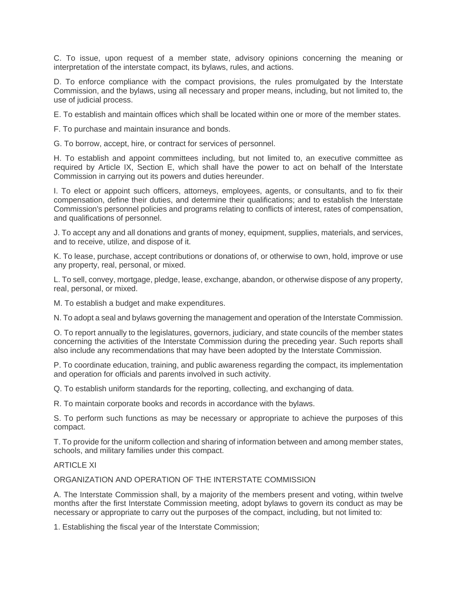C. To issue, upon request of a member state, advisory opinions concerning the meaning or interpretation of the interstate compact, its bylaws, rules, and actions.

D. To enforce compliance with the compact provisions, the rules promulgated by the Interstate Commission, and the bylaws, using all necessary and proper means, including, but not limited to, the use of judicial process.

E. To establish and maintain offices which shall be located within one or more of the member states.

F. To purchase and maintain insurance and bonds.

G. To borrow, accept, hire, or contract for services of personnel.

H. To establish and appoint committees including, but not limited to, an executive committee as required by Article IX, Section E, which shall have the power to act on behalf of the Interstate Commission in carrying out its powers and duties hereunder.

I. To elect or appoint such officers, attorneys, employees, agents, or consultants, and to fix their compensation, define their duties, and determine their qualifications; and to establish the Interstate Commission's personnel policies and programs relating to conflicts of interest, rates of compensation, and qualifications of personnel.

J. To accept any and all donations and grants of money, equipment, supplies, materials, and services, and to receive, utilize, and dispose of it.

K. To lease, purchase, accept contributions or donations of, or otherwise to own, hold, improve or use any property, real, personal, or mixed.

L. To sell, convey, mortgage, pledge, lease, exchange, abandon, or otherwise dispose of any property, real, personal, or mixed.

M. To establish a budget and make expenditures.

N. To adopt a seal and bylaws governing the management and operation of the Interstate Commission.

O. To report annually to the legislatures, governors, judiciary, and state councils of the member states concerning the activities of the Interstate Commission during the preceding year. Such reports shall also include any recommendations that may have been adopted by the Interstate Commission.

P. To coordinate education, training, and public awareness regarding the compact, its implementation and operation for officials and parents involved in such activity.

Q. To establish uniform standards for the reporting, collecting, and exchanging of data.

R. To maintain corporate books and records in accordance with the bylaws.

S. To perform such functions as may be necessary or appropriate to achieve the purposes of this compact.

T. To provide for the uniform collection and sharing of information between and among member states, schools, and military families under this compact.

#### ARTICLE XI

#### ORGANIZATION AND OPERATION OF THE INTERSTATE COMMISSION

A. The Interstate Commission shall, by a majority of the members present and voting, within twelve months after the first Interstate Commission meeting, adopt bylaws to govern its conduct as may be necessary or appropriate to carry out the purposes of the compact, including, but not limited to:

1. Establishing the fiscal year of the Interstate Commission;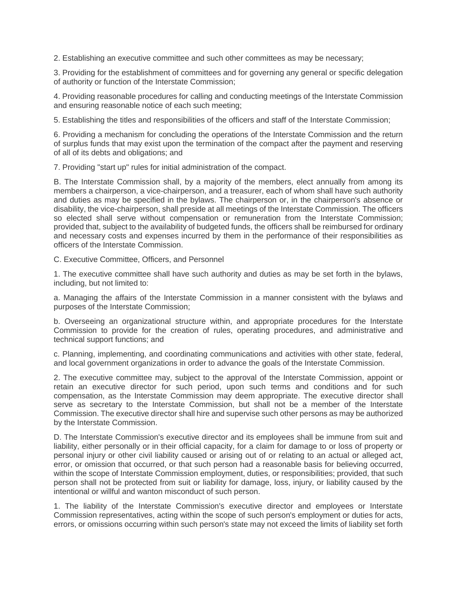2. Establishing an executive committee and such other committees as may be necessary;

3. Providing for the establishment of committees and for governing any general or specific delegation of authority or function of the Interstate Commission;

4. Providing reasonable procedures for calling and conducting meetings of the Interstate Commission and ensuring reasonable notice of each such meeting;

5. Establishing the titles and responsibilities of the officers and staff of the Interstate Commission;

6. Providing a mechanism for concluding the operations of the Interstate Commission and the return of surplus funds that may exist upon the termination of the compact after the payment and reserving of all of its debts and obligations; and

7. Providing "start up" rules for initial administration of the compact.

B. The Interstate Commission shall, by a majority of the members, elect annually from among its members a chairperson, a vice-chairperson, and a treasurer, each of whom shall have such authority and duties as may be specified in the bylaws. The chairperson or, in the chairperson's absence or disability, the vice-chairperson, shall preside at all meetings of the Interstate Commission. The officers so elected shall serve without compensation or remuneration from the Interstate Commission; provided that, subject to the availability of budgeted funds, the officers shall be reimbursed for ordinary and necessary costs and expenses incurred by them in the performance of their responsibilities as officers of the Interstate Commission.

C. Executive Committee, Officers, and Personnel

1. The executive committee shall have such authority and duties as may be set forth in the bylaws, including, but not limited to:

a. Managing the affairs of the Interstate Commission in a manner consistent with the bylaws and purposes of the Interstate Commission;

b. Overseeing an organizational structure within, and appropriate procedures for the Interstate Commission to provide for the creation of rules, operating procedures, and administrative and technical support functions; and

c. Planning, implementing, and coordinating communications and activities with other state, federal, and local government organizations in order to advance the goals of the Interstate Commission.

2. The executive committee may, subject to the approval of the Interstate Commission, appoint or retain an executive director for such period, upon such terms and conditions and for such compensation, as the Interstate Commission may deem appropriate. The executive director shall serve as secretary to the Interstate Commission, but shall not be a member of the Interstate Commission. The executive director shall hire and supervise such other persons as may be authorized by the Interstate Commission.

D. The Interstate Commission's executive director and its employees shall be immune from suit and liability, either personally or in their official capacity, for a claim for damage to or loss of property or personal injury or other civil liability caused or arising out of or relating to an actual or alleged act, error, or omission that occurred, or that such person had a reasonable basis for believing occurred, within the scope of Interstate Commission employment, duties, or responsibilities; provided, that such person shall not be protected from suit or liability for damage, loss, injury, or liability caused by the intentional or willful and wanton misconduct of such person.

1. The liability of the Interstate Commission's executive director and employees or Interstate Commission representatives, acting within the scope of such person's employment or duties for acts, errors, or omissions occurring within such person's state may not exceed the limits of liability set forth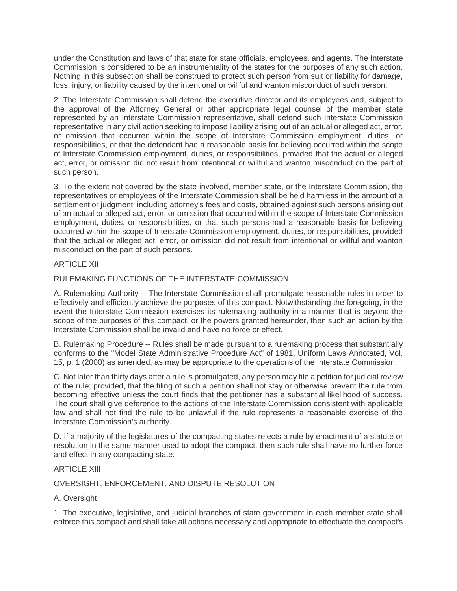under the Constitution and laws of that state for state officials, employees, and agents. The Interstate Commission is considered to be an instrumentality of the states for the purposes of any such action. Nothing in this subsection shall be construed to protect such person from suit or liability for damage, loss, injury, or liability caused by the intentional or willful and wanton misconduct of such person.

2. The Interstate Commission shall defend the executive director and its employees and, subject to the approval of the Attorney General or other appropriate legal counsel of the member state represented by an Interstate Commission representative, shall defend such Interstate Commission representative in any civil action seeking to impose liability arising out of an actual or alleged act, error, or omission that occurred within the scope of Interstate Commission employment, duties, or responsibilities, or that the defendant had a reasonable basis for believing occurred within the scope of Interstate Commission employment, duties, or responsibilities, provided that the actual or alleged act, error, or omission did not result from intentional or willful and wanton misconduct on the part of such person.

3. To the extent not covered by the state involved, member state, or the Interstate Commission, the representatives or employees of the Interstate Commission shall be held harmless in the amount of a settlement or judgment, including attorney's fees and costs, obtained against such persons arising out of an actual or alleged act, error, or omission that occurred within the scope of Interstate Commission employment, duties, or responsibilities, or that such persons had a reasonable basis for believing occurred within the scope of Interstate Commission employment, duties, or responsibilities, provided that the actual or alleged act, error, or omission did not result from intentional or willful and wanton misconduct on the part of such persons.

## ARTICLE XII

## RULEMAKING FUNCTIONS OF THE INTERSTATE COMMISSION

A. Rulemaking Authority -- The Interstate Commission shall promulgate reasonable rules in order to effectively and efficiently achieve the purposes of this compact. Notwithstanding the foregoing, in the event the Interstate Commission exercises its rulemaking authority in a manner that is beyond the scope of the purposes of this compact, or the powers granted hereunder, then such an action by the Interstate Commission shall be invalid and have no force or effect.

B. Rulemaking Procedure -- Rules shall be made pursuant to a rulemaking process that substantially conforms to the "Model State Administrative Procedure Act" of 1981, Uniform Laws Annotated, Vol. 15, p. 1 (2000) as amended, as may be appropriate to the operations of the Interstate Commission.

C. Not later than thirty days after a rule is promulgated, any person may file a petition for judicial review of the rule; provided, that the filing of such a petition shall not stay or otherwise prevent the rule from becoming effective unless the court finds that the petitioner has a substantial likelihood of success. The court shall give deference to the actions of the Interstate Commission consistent with applicable law and shall not find the rule to be unlawful if the rule represents a reasonable exercise of the Interstate Commission's authority.

D. If a majority of the legislatures of the compacting states rejects a rule by enactment of a statute or resolution in the same manner used to adopt the compact, then such rule shall have no further force and effect in any compacting state.

## ARTICLE XIII

## OVERSIGHT, ENFORCEMENT, AND DISPUTE RESOLUTION

## A. Oversight

1. The executive, legislative, and judicial branches of state government in each member state shall enforce this compact and shall take all actions necessary and appropriate to effectuate the compact's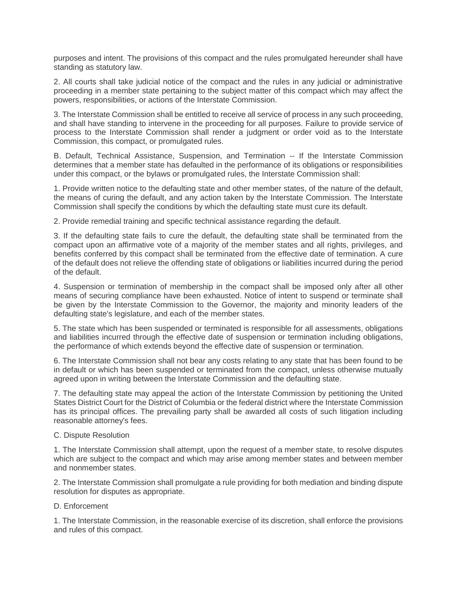purposes and intent. The provisions of this compact and the rules promulgated hereunder shall have standing as statutory law.

2. All courts shall take judicial notice of the compact and the rules in any judicial or administrative proceeding in a member state pertaining to the subject matter of this compact which may affect the powers, responsibilities, or actions of the Interstate Commission.

3. The Interstate Commission shall be entitled to receive all service of process in any such proceeding, and shall have standing to intervene in the proceeding for all purposes. Failure to provide service of process to the Interstate Commission shall render a judgment or order void as to the Interstate Commission, this compact, or promulgated rules.

B. Default, Technical Assistance, Suspension, and Termination -- If the Interstate Commission determines that a member state has defaulted in the performance of its obligations or responsibilities under this compact, or the bylaws or promulgated rules, the Interstate Commission shall:

1. Provide written notice to the defaulting state and other member states, of the nature of the default, the means of curing the default, and any action taken by the Interstate Commission. The Interstate Commission shall specify the conditions by which the defaulting state must cure its default.

2. Provide remedial training and specific technical assistance regarding the default.

3. If the defaulting state fails to cure the default, the defaulting state shall be terminated from the compact upon an affirmative vote of a majority of the member states and all rights, privileges, and benefits conferred by this compact shall be terminated from the effective date of termination. A cure of the default does not relieve the offending state of obligations or liabilities incurred during the period of the default.

4. Suspension or termination of membership in the compact shall be imposed only after all other means of securing compliance have been exhausted. Notice of intent to suspend or terminate shall be given by the Interstate Commission to the Governor, the majority and minority leaders of the defaulting state's legislature, and each of the member states.

5. The state which has been suspended or terminated is responsible for all assessments, obligations and liabilities incurred through the effective date of suspension or termination including obligations, the performance of which extends beyond the effective date of suspension or termination.

6. The Interstate Commission shall not bear any costs relating to any state that has been found to be in default or which has been suspended or terminated from the compact, unless otherwise mutually agreed upon in writing between the Interstate Commission and the defaulting state.

7. The defaulting state may appeal the action of the Interstate Commission by petitioning the United States District Court for the District of Columbia or the federal district where the Interstate Commission has its principal offices. The prevailing party shall be awarded all costs of such litigation including reasonable attorney's fees.

## C. Dispute Resolution

1. The Interstate Commission shall attempt, upon the request of a member state, to resolve disputes which are subject to the compact and which may arise among member states and between member and nonmember states.

2. The Interstate Commission shall promulgate a rule providing for both mediation and binding dispute resolution for disputes as appropriate.

#### D. Enforcement

1. The Interstate Commission, in the reasonable exercise of its discretion, shall enforce the provisions and rules of this compact.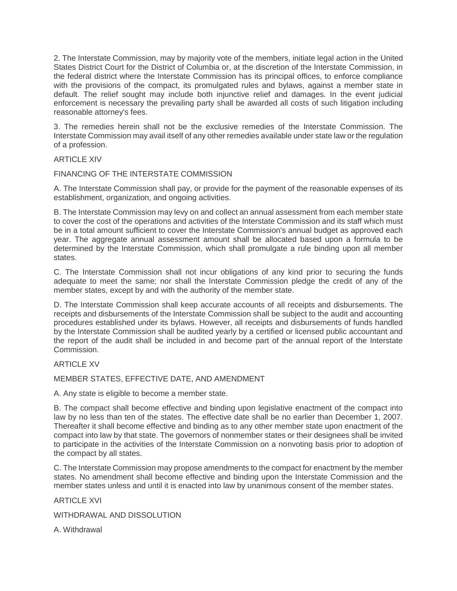2. The Interstate Commission, may by majority vote of the members, initiate legal action in the United States District Court for the District of Columbia or, at the discretion of the Interstate Commission, in the federal district where the Interstate Commission has its principal offices, to enforce compliance with the provisions of the compact, its promulgated rules and bylaws, against a member state in default. The relief sought may include both injunctive relief and damages. In the event judicial enforcement is necessary the prevailing party shall be awarded all costs of such litigation including reasonable attorney's fees.

3. The remedies herein shall not be the exclusive remedies of the Interstate Commission. The Interstate Commission may avail itself of any other remedies available under state law or the regulation of a profession.

## ARTICLE XIV

FINANCING OF THE INTERSTATE COMMISSION

A. The Interstate Commission shall pay, or provide for the payment of the reasonable expenses of its establishment, organization, and ongoing activities.

B. The Interstate Commission may levy on and collect an annual assessment from each member state to cover the cost of the operations and activities of the Interstate Commission and its staff which must be in a total amount sufficient to cover the Interstate Commission's annual budget as approved each year. The aggregate annual assessment amount shall be allocated based upon a formula to be determined by the Interstate Commission, which shall promulgate a rule binding upon all member states.

C. The Interstate Commission shall not incur obligations of any kind prior to securing the funds adequate to meet the same; nor shall the Interstate Commission pledge the credit of any of the member states, except by and with the authority of the member state.

D. The Interstate Commission shall keep accurate accounts of all receipts and disbursements. The receipts and disbursements of the Interstate Commission shall be subject to the audit and accounting procedures established under its bylaws. However, all receipts and disbursements of funds handled by the Interstate Commission shall be audited yearly by a certified or licensed public accountant and the report of the audit shall be included in and become part of the annual report of the Interstate Commission.

## ARTICLE XV

MEMBER STATES, EFFECTIVE DATE, AND AMENDMENT

A. Any state is eligible to become a member state.

B. The compact shall become effective and binding upon legislative enactment of the compact into law by no less than ten of the states. The effective date shall be no earlier than December 1, 2007. Thereafter it shall become effective and binding as to any other member state upon enactment of the compact into law by that state. The governors of nonmember states or their designees shall be invited to participate in the activities of the Interstate Commission on a nonvoting basis prior to adoption of the compact by all states.

C. The Interstate Commission may propose amendments to the compact for enactment by the member states. No amendment shall become effective and binding upon the Interstate Commission and the member states unless and until it is enacted into law by unanimous consent of the member states.

ARTICLE XVI

WITHDRAWAL AND DISSOLUTION

A. Withdrawal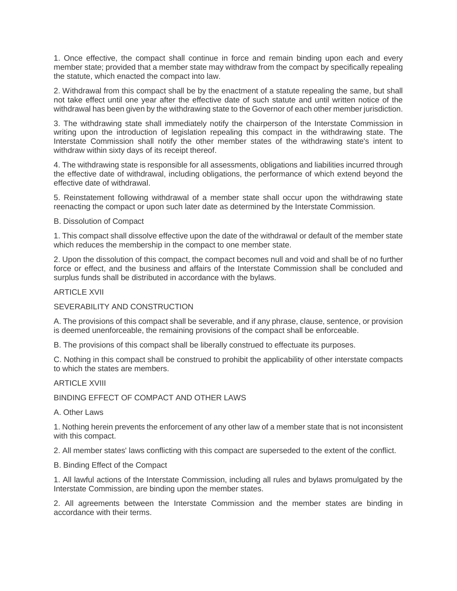1. Once effective, the compact shall continue in force and remain binding upon each and every member state; provided that a member state may withdraw from the compact by specifically repealing the statute, which enacted the compact into law.

2. Withdrawal from this compact shall be by the enactment of a statute repealing the same, but shall not take effect until one year after the effective date of such statute and until written notice of the withdrawal has been given by the withdrawing state to the Governor of each other member jurisdiction.

3. The withdrawing state shall immediately notify the chairperson of the Interstate Commission in writing upon the introduction of legislation repealing this compact in the withdrawing state. The Interstate Commission shall notify the other member states of the withdrawing state's intent to withdraw within sixty days of its receipt thereof.

4. The withdrawing state is responsible for all assessments, obligations and liabilities incurred through the effective date of withdrawal, including obligations, the performance of which extend beyond the effective date of withdrawal.

5. Reinstatement following withdrawal of a member state shall occur upon the withdrawing state reenacting the compact or upon such later date as determined by the Interstate Commission.

#### B. Dissolution of Compact

1. This compact shall dissolve effective upon the date of the withdrawal or default of the member state which reduces the membership in the compact to one member state.

2. Upon the dissolution of this compact, the compact becomes null and void and shall be of no further force or effect, and the business and affairs of the Interstate Commission shall be concluded and surplus funds shall be distributed in accordance with the bylaws.

#### ARTICLE XVII

#### SEVERABILITY AND CONSTRUCTION

A. The provisions of this compact shall be severable, and if any phrase, clause, sentence, or provision is deemed unenforceable, the remaining provisions of the compact shall be enforceable.

B. The provisions of this compact shall be liberally construed to effectuate its purposes.

C. Nothing in this compact shall be construed to prohibit the applicability of other interstate compacts to which the states are members.

ARTICLE XVIII

BINDING EFFECT OF COMPACT AND OTHER LAWS

#### A. Other Laws

1. Nothing herein prevents the enforcement of any other law of a member state that is not inconsistent with this compact.

2. All member states' laws conflicting with this compact are superseded to the extent of the conflict.

#### B. Binding Effect of the Compact

1. All lawful actions of the Interstate Commission, including all rules and bylaws promulgated by the Interstate Commission, are binding upon the member states.

2. All agreements between the Interstate Commission and the member states are binding in accordance with their terms.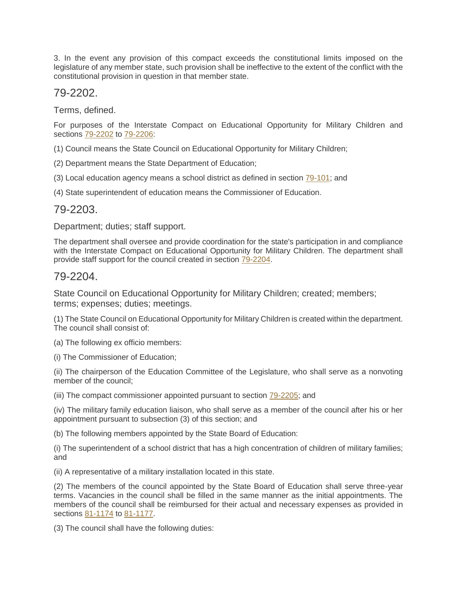3. In the event any provision of this compact exceeds the constitutional limits imposed on the legislature of any member state, such provision shall be ineffective to the extent of the conflict with the constitutional provision in question in that member state.

# 79-2202.

Terms, defined.

For purposes of the Interstate Compact on Educational Opportunity for Military Children and sections [79-2202](http://nebraskalegislature.gov/laws/statutes.php?statute=79-2202) to [79-2206:](http://nebraskalegislature.gov/laws/statutes.php?statute=79-2206)

(1) Council means the State Council on Educational Opportunity for Military Children;

(2) Department means the State Department of Education;

(3) Local education agency means a school district as defined in section [79-101;](http://nebraskalegislature.gov/laws/statutes.php?statute=79-101) and

(4) State superintendent of education means the Commissioner of Education.

## 79-2203.

Department; duties; staff support.

The department shall oversee and provide coordination for the state's participation in and compliance with the Interstate Compact on Educational Opportunity for Military Children. The department shall provide staff support for the council created in section [79-2204.](http://nebraskalegislature.gov/laws/statutes.php?statute=79-2204)

## 79-2204.

State Council on Educational Opportunity for Military Children; created; members; terms; expenses; duties; meetings.

(1) The State Council on Educational Opportunity for Military Children is created within the department. The council shall consist of:

(a) The following ex officio members:

(i) The Commissioner of Education;

(ii) The chairperson of the Education Committee of the Legislature, who shall serve as a nonvoting member of the council;

(iii) The compact commissioner appointed pursuant to section [79-2205;](http://nebraskalegislature.gov/laws/statutes.php?statute=79-2205) and

(iv) The military family education liaison, who shall serve as a member of the council after his or her appointment pursuant to subsection (3) of this section; and

(b) The following members appointed by the State Board of Education:

(i) The superintendent of a school district that has a high concentration of children of military families; and

(ii) A representative of a military installation located in this state.

(2) The members of the council appointed by the State Board of Education shall serve three-year terms. Vacancies in the council shall be filled in the same manner as the initial appointments. The members of the council shall be reimbursed for their actual and necessary expenses as provided in sections [81-1174](http://nebraskalegislature.gov/laws/statutes.php?statute=81-1174) to [81-1177.](http://nebraskalegislature.gov/laws/statutes.php?statute=81-1177)

(3) The council shall have the following duties: